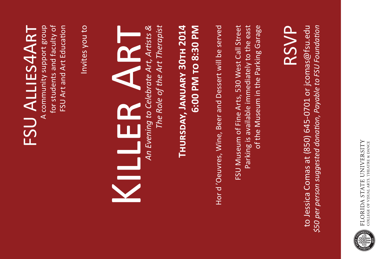

## to Jessica Comas at (850) 645-0701 or jcomas@fsu.edu \$50 per person suggested donation, Payable to FSU Foundation to Jessica Comas at (850) 645-0701 or jcomas@fsu.edu *\$50 per person suggested donation, Payable to FSU Foundation*

## RSVP

Parking is available immediately to the east FSU Museum of Fine Arts, 530 West Call Street Parking is available immediately to the east of the Museum in the Parking Garage FSU Museum of Fine Arts, 530 West Call Street of the Museum in the Parking Garage

## 6:00 PM TO 8:30 PM **Thursday, January 30th 2014 6:00 PM to 8:30 PM**

# THURSDAY, JANUARY 30TH 2014

Hor d'Oeuvres, Wine, Beer and Dessert will be served Hor d 'Oeuvres, Wine, Beer and Dessert will be served

The Role of the Art Therapist *The Role of the Art Therapist*

*An Evening to Celebrate Art, Artists &* 

An Evening to Celebrate Art, Artists &

Killer Art

KILLER ART

FSU ALLIES4ART FSU Allies4Art

A community support group for students and faculty of for students and faculty of FSU Art and Art Education FSU Art and Art Education

Invites you to Invites you to